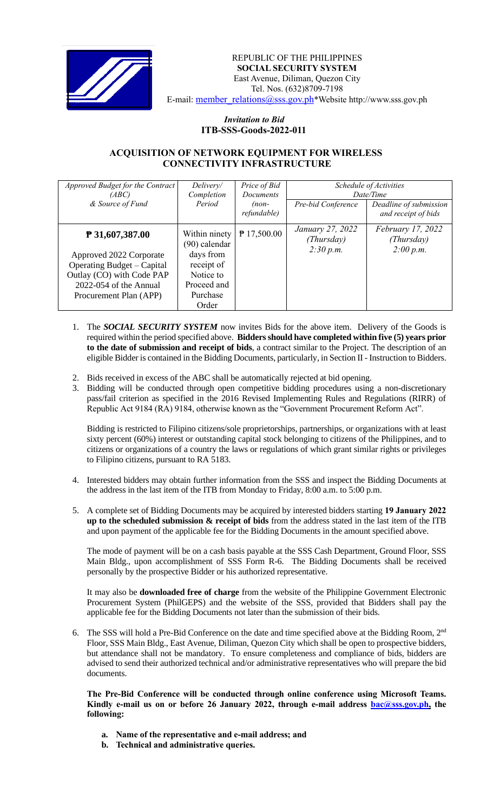

REPUBLIC OF THE PHILIPPINES  **SOCIAL SECURITY SYSTEM** East Avenue, Diliman, Quezon City Tel. Nos. (632)8709-7198 E-mail: [member\\_relations@sss.gov.ph](mailto:member_relations@sss.gov.ph)\*Website http://www.sss.gov.ph

## *Invitation to Bid*  **ITB-SSS-Goods-2022-011**

## **ACQUISITION OF NETWORK EQUIPMENT FOR WIRELESS CONNECTIVITY INFRASTRUCTURE**

| Approved Budget for the Contract<br>(ABC) | Delivery/<br>Completion          | Price of Bid<br><b>Documents</b> | Schedule of Activities<br>Date/Time |                                               |
|-------------------------------------------|----------------------------------|----------------------------------|-------------------------------------|-----------------------------------------------|
| & Source of Fund                          | Period                           | $(non-$<br>refundable)           | Pre-bid Conference                  | Deadline of submission<br>and receipt of bids |
| P 31,607,387.00                           | Within ninety<br>$(90)$ calendar | $P$ 17,500.00                    | January 27, 2022<br>(Thursday)      | <i>February 17, 2022</i><br>(Thursday)        |
| Approved 2022 Corporate                   | days from                        |                                  | 2:30 p.m.                           | 2:00 p.m.                                     |
| Operating Budget – Capital                | receipt of                       |                                  |                                     |                                               |
| Outlay (CO) with Code PAP                 | Notice to                        |                                  |                                     |                                               |
| 2022-054 of the Annual                    | Proceed and                      |                                  |                                     |                                               |
| Procurement Plan (APP)                    | Purchase                         |                                  |                                     |                                               |
|                                           | Order                            |                                  |                                     |                                               |

- 1. The *SOCIAL SECURITY SYSTEM* now invites Bids for the above item. Delivery of the Goods is required within the period specified above. **Bidders should have completed within five (5) years prior to the date of submission and receipt of bids**, a contract similar to the Project. The description of an eligible Bidder is contained in the Bidding Documents, particularly, in Section II - Instruction to Bidders.
- 2. Bids received in excess of the ABC shall be automatically rejected at bid opening.
- 3. Bidding will be conducted through open competitive bidding procedures using a non-discretionary pass/fail criterion as specified in the 2016 Revised Implementing Rules and Regulations (RIRR) of Republic Act 9184 (RA) 9184, otherwise known as the "Government Procurement Reform Act".

Bidding is restricted to Filipino citizens/sole proprietorships, partnerships, or organizations with at least sixty percent (60%) interest or outstanding capital stock belonging to citizens of the Philippines, and to citizens or organizations of a country the laws or regulations of which grant similar rights or privileges to Filipino citizens, pursuant to RA 5183.

- 4. Interested bidders may obtain further information from the SSS and inspect the Bidding Documents at the address in the last item of the ITB from Monday to Friday, 8:00 a.m. to 5:00 p.m.
- 5. A complete set of Bidding Documents may be acquired by interested bidders starting **19 January 2022 up to the scheduled submission & receipt of bids** from the address stated in the last item of the ITB and upon payment of the applicable fee for the Bidding Documents in the amount specified above.

The mode of payment will be on a cash basis payable at the SSS Cash Department, Ground Floor, SSS Main Bldg., upon accomplishment of SSS Form R-6. The Bidding Documents shall be received personally by the prospective Bidder or his authorized representative.

It may also be **downloaded free of charge** from the website of the Philippine Government Electronic Procurement System (PhilGEPS) and the website of the SSS*,* provided that Bidders shall pay the applicable fee for the Bidding Documents not later than the submission of their bids.

6. The SSS will hold a Pre-Bid Conference on the date and time specified above at the Bidding Room, 2<sup>nd</sup> Floor, SSS Main Bldg., East Avenue, Diliman, Quezon City which shall be open to prospective bidders, but attendance shall not be mandatory. To ensure completeness and compliance of bids, bidders are advised to send their authorized technical and/or administrative representatives who will prepare the bid documents.

**The Pre-Bid Conference will be conducted through online conference using Microsoft Teams.**  Kindly e-mail us on or before 26 January 2022, through e-mail address **bac@sss.gov.ph**, the **following:**

- **a. Name of the representative and e-mail address; and**
- **b. Technical and administrative queries.**